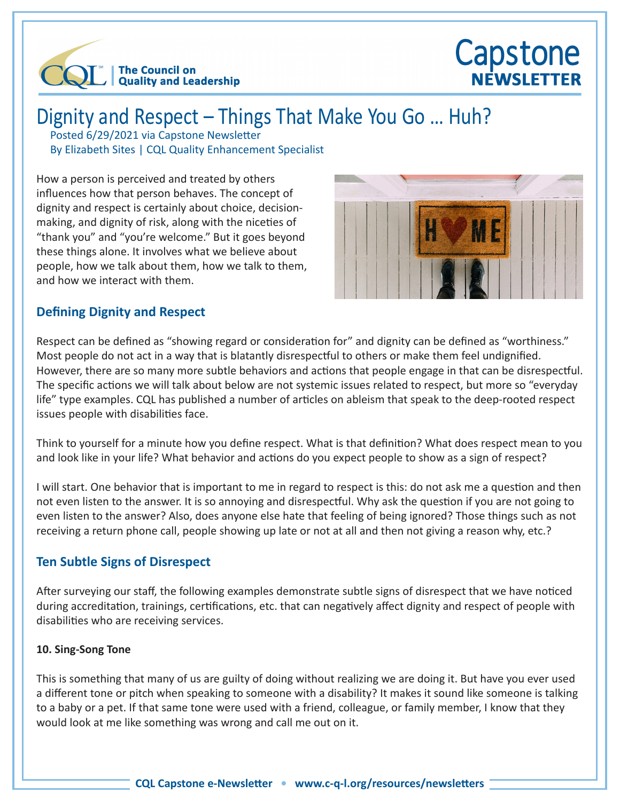

# Capstone NEWSLETTER

## Dignity and Respect – Things That Make You Go … Huh?

Posted 6/29/2021 via Capstone Newsletter By Elizabeth Sites | CQL Quality Enhancement Specialist

How a person is perceived and treated by others influences how that person behaves. The concept of dignity and respect is certainly about choice, decisionmaking, and dignity of risk, along with the niceties of "thank you" and "you're welcome." But it goes beyond these things alone. It involves what we believe about people, how we talk about them, how we talk to them, and how we interact with them.



## **Defining Dignity and Respect**

Respect can be defined as "showing regard or consideration for" and dignity can be defined as "worthiness." Most people do not act in a way that is blatantly disrespectful to others or make them feel undignified. However, there are so many more subtle behaviors and actions that people engage in that can be disrespectful. The specific actions we will talk about below are not systemic issues related to respect, but more so "everyday life" type examples. CQL has published a number of articles on ableism that speak to the deep-rooted respect issues people with disabilities face.

Think to yourself for a minute how you define respect. What is that definition? What does respect mean to you and look like in your life? What behavior and actions do you expect people to show as a sign of respect?

I will start. One behavior that is important to me in regard to respect is this: do not ask me a question and then not even listen to the answer. It is so annoying and disrespectful. Why ask the question if you are not going to even listen to the answer? Also, does anyone else hate that feeling of being ignored? Those things such as not receiving a return phone call, people showing up late or not at all and then not giving a reason why, etc.?

## **Ten Subtle Signs of Disrespect**

After surveying our staff, the following examples demonstrate subtle signs of disrespect that we have noticed during accreditation, trainings, certifications, etc. that can negatively affect dignity and respect of people with disabilities who are receiving services.

#### **10. Sing-Song Tone**

This is something that many of us are guilty of doing without realizing we are doing it. But have you ever used a different tone or pitch when speaking to someone with a disability? It makes it sound like someone is talking to a baby or a pet. If that same tone were used with a friend, colleague, or family member, I know that they would look at me like something was wrong and call me out on it.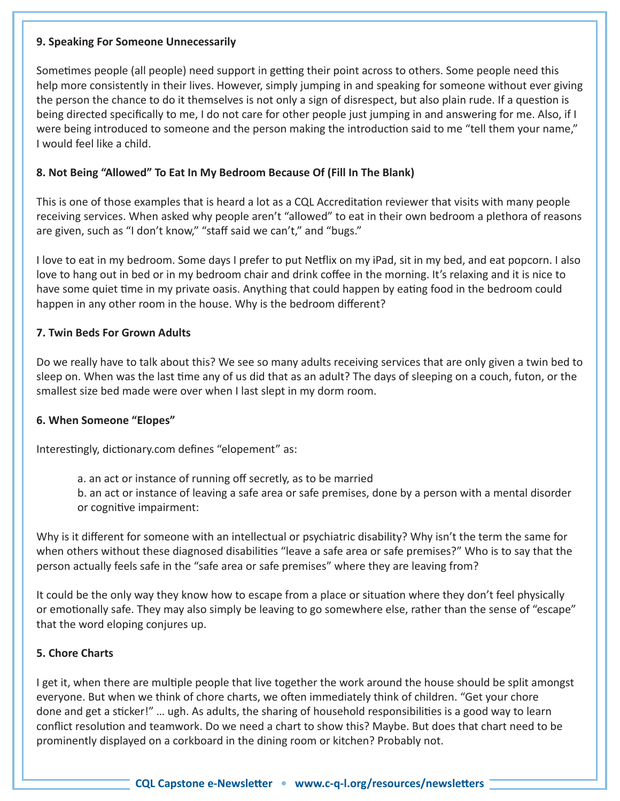#### **9. Speaking For Someone Unnecessarily**

Sometimes people (all people) need support in getting their point across to others. Some people need this help more consistently in their lives. However, simply jumping in and speaking for someone without ever giving the person the chance to do it themselves is not only a sign of disrespect, but also plain rude. If a question is being directed specifically to me, I do not care for other people just jumping in and answering for me. Also, if I were being introduced to someone and the person making the introduction said to me "tell them your name," I would feel like a child.

#### **8. Not Being "Allowed" To Eat In My Bedroom Because Of (Fill In The Blank)**

This is one of those examples that is heard a lot as a CQL Accreditation reviewer that visits with many people receiving services. When asked why people aren't "allowed" to eat in their own bedroom a plethora of reasons are given, such as "I don't know," "staff said we can't," and "bugs."

I love to eat in my bedroom. Some days I prefer to put Netflix on my iPad, sit in my bed, and eat popcorn. I also love to hang out in bed or in my bedroom chair and drink coffee in the morning. It's relaxing and it is nice to have some quiet time in my private oasis. Anything that could happen by eating food in the bedroom could happen in any other room in the house. Why is the bedroom different?

#### **7. Twin Beds For Grown Adults**

Do we really have to talk about this? We see so many adults receiving services that are only given a twin bed to sleep on. When was the last time any of us did that as an adult? The days of sleeping on a couch, futon, or the smallest size bed made were over when I last slept in my dorm room.

#### **6. When Someone "Elopes"**

Interestingly, dictionary.com defines "elopement" as:

a. an act or instance of running off secretly, as to be married

b. an act or instance of leaving a safe area or safe premises, done by a person with a mental disorder or cognitive impairment:

Why is it different for someone with an intellectual or psychiatric disability? Why isn't the term the same for when others without these diagnosed disabilities "leave a safe area or safe premises?" Who is to say that the person actually feels safe in the "safe area or safe premises" where they are leaving from?

It could be the only way they know how to escape from a place or situation where they don't feel physically or emotionally safe. They may also simply be leaving to go somewhere else, rather than the sense of "escape" that the word eloping conjures up.

#### **5. Chore Charts**

I get it, when there are multiple people that live together the work around the house should be split amongst everyone. But when we think of chore charts, we often immediately think of children. "Get your chore done and get a sticker!" … ugh. As adults, the sharing of household responsibilities is a good way to learn conflict resolution and teamwork. Do we need a chart to show this? Maybe. But does that chart need to be prominently displayed on a corkboard in the dining room or kitchen? Probably not.